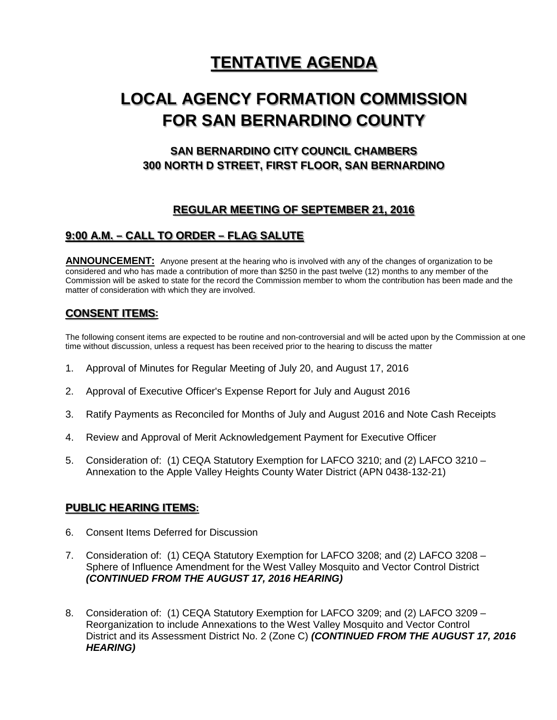# **TENTATIVE AGENDA**

# **LOCAL AGENCY FORMATION COMMISSION FOR SAN BERNARDINO COUNTY**

# **SAN BERNARDINO CITY COUNCIL CHAMBERS 300 NORTH D STREET, FIRST FLOOR, SAN BERNARDINO**

## **REGULAR MEETING OF SEPTEMBER 21, 2016**

## **9:00 A.M. – CALL TO ORDER – FLAG SALUTE**

**ANNOUNCEMENT:** Anyone present at the hearing who is involved with any of the changes of organization to be considered and who has made a contribution of more than \$250 in the past twelve (12) months to any member of the Commission will be asked to state for the record the Commission member to whom the contribution has been made and the matter of consideration with which they are involved.

### **CONSENT ITEMS:**

The following consent items are expected to be routine and non-controversial and will be acted upon by the Commission at one time without discussion, unless a request has been received prior to the hearing to discuss the matter

- 1. Approval of Minutes for Regular Meeting of July 20, and August 17, 2016
- 2. Approval of Executive Officer's Expense Report for July and August 2016
- 3. Ratify Payments as Reconciled for Months of July and August 2016 and Note Cash Receipts
- 4. Review and Approval of Merit Acknowledgement Payment for Executive Officer
- 5. Consideration of: (1) CEQA Statutory Exemption for LAFCO 3210; and (2) LAFCO 3210 Annexation to the Apple Valley Heights County Water District (APN 0438-132-21)

### **PUBLIC HEARING ITEMS:**

- 6. Consent Items Deferred for Discussion
- 7. Consideration of: (1) CEQA Statutory Exemption for LAFCO 3208; and (2) LAFCO 3208 Sphere of Influence Amendment for the West Valley Mosquito and Vector Control District *(CONTINUED FROM THE AUGUST 17, 2016 HEARING)*
- 8. Consideration of: (1) CEQA Statutory Exemption for LAFCO 3209; and (2) LAFCO 3209 Reorganization to include Annexations to the West Valley Mosquito and Vector Control District and its Assessment District No. 2 (Zone C) *(CONTINUED FROM THE AUGUST 17, 2016 HEARING)*